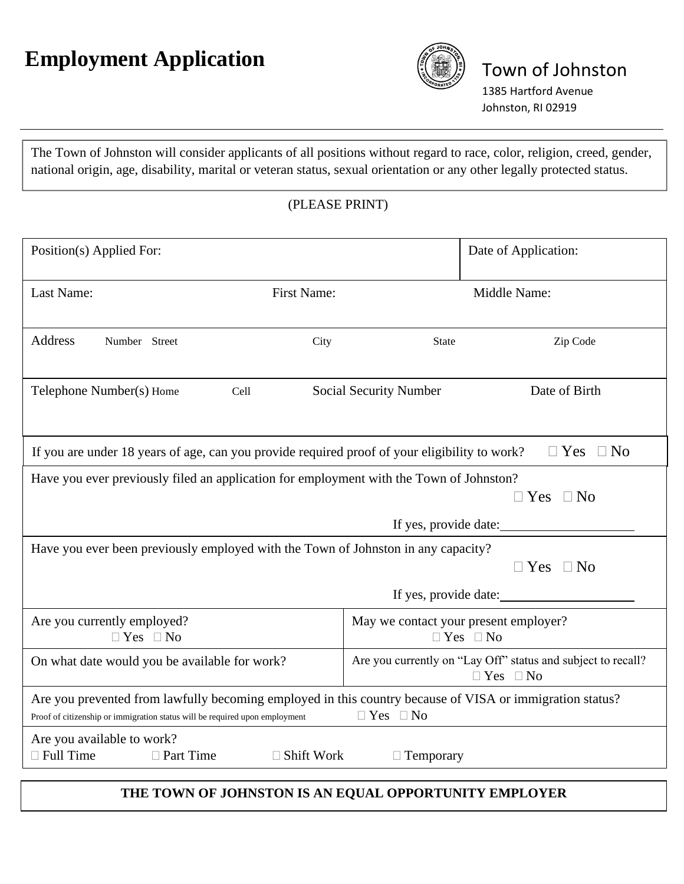# **Employment Application**



### Town of Johnston

1385 Hartford Avenue Johnston, RI 02919

The Town of Johnston will consider applicants of all positions without regard to race, color, religion, creed, gender, national origin, age, disability, marital or veteran status, sexual orientation or any other legally protected status.

#### (PLEASE PRINT)

| Position(s) Applied For:                                                                                                                                                                                        |                                                                                                            |                        | Date of Application:    |  |  |
|-----------------------------------------------------------------------------------------------------------------------------------------------------------------------------------------------------------------|------------------------------------------------------------------------------------------------------------|------------------------|-------------------------|--|--|
| Last Name:                                                                                                                                                                                                      | First Name:                                                                                                |                        | Middle Name:            |  |  |
| <b>Address</b><br>Number Street                                                                                                                                                                                 | City                                                                                                       | <b>State</b>           | Zip Code                |  |  |
| Telephone Number(s) Home<br>Cell                                                                                                                                                                                |                                                                                                            | Social Security Number | Date of Birth           |  |  |
| If you are under 18 years of age, can you provide required proof of your eligibility to work?                                                                                                                   |                                                                                                            |                        | $\Box$ No<br>$\Box$ Yes |  |  |
| Have you ever previously filed an application for employment with the Town of Johnston?<br>$\Box$ Yes $\Box$ No                                                                                                 |                                                                                                            |                        |                         |  |  |
|                                                                                                                                                                                                                 | If yes, provide date:<br>Have you ever been previously employed with the Town of Johnston in any capacity? |                        |                         |  |  |
|                                                                                                                                                                                                                 | $\Box$ Yes $\Box$ No                                                                                       |                        |                         |  |  |
|                                                                                                                                                                                                                 | If yes, provide date:                                                                                      |                        |                         |  |  |
| Are you currently employed?<br>$\Box$ Yes $\Box$ No                                                                                                                                                             | May we contact your present employer?<br>$\Box$ Yes $\Box$ No                                              |                        |                         |  |  |
| On what date would you be available for work?                                                                                                                                                                   | Are you currently on "Lay Off" status and subject to recall?<br>$\Box$ Yes $\Box$ No                       |                        |                         |  |  |
| Are you prevented from lawfully becoming employed in this country because of VISA or immigration status?<br>$\Box$ Yes $\Box$ No<br>Proof of citizenship or immigration status will be required upon employment |                                                                                                            |                        |                         |  |  |
| Are you available to work?<br>$\Box$ Full Time<br>□ Part Time                                                                                                                                                   | $\Box$ Shift Work                                                                                          | $\Box$ Temporary       |                         |  |  |
| THE TOWN OF JOHNSTON IS AN EQUAL OPPORTUNITY EMPLOYER                                                                                                                                                           |                                                                                                            |                        |                         |  |  |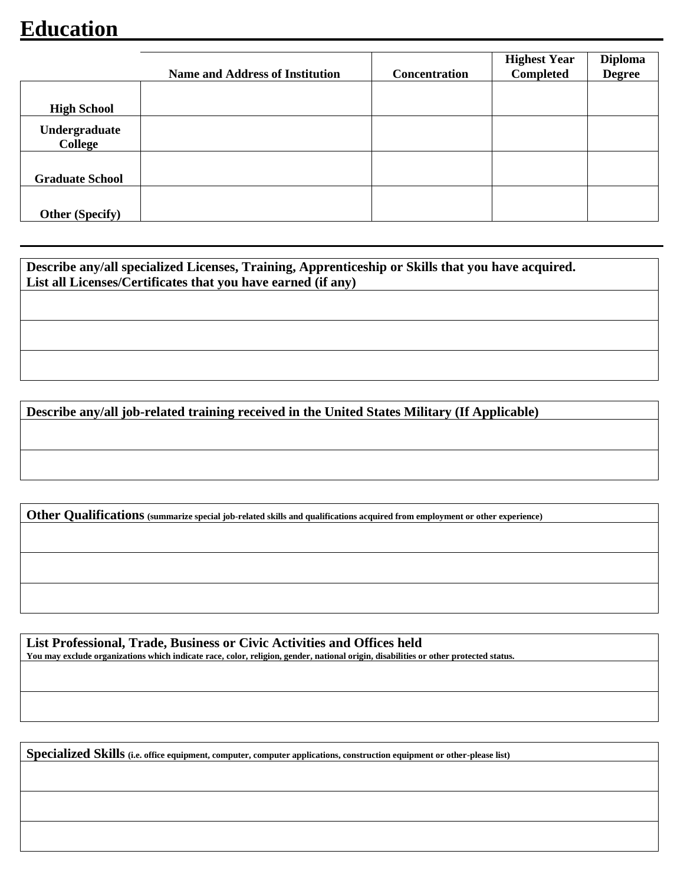## **Education**

|                          | <b>Name and Address of Institution</b> | <b>Concentration</b> | <b>Highest Year</b><br>Completed | <b>Diploma</b><br><b>Degree</b> |
|--------------------------|----------------------------------------|----------------------|----------------------------------|---------------------------------|
|                          |                                        |                      |                                  |                                 |
| <b>High School</b>       |                                        |                      |                                  |                                 |
| Undergraduate<br>College |                                        |                      |                                  |                                 |
| <b>Graduate School</b>   |                                        |                      |                                  |                                 |
| <b>Other (Specify)</b>   |                                        |                      |                                  |                                 |

**Describe any/all specialized Licenses, Training, Apprenticeship or Skills that you have acquired. List all Licenses/Certificates that you have earned (if any)**

**Describe any/all job-related training received in the United States Military (If Applicable)**

**Other Qualifications (summarize special job-related skills and qualifications acquired from employment or other experience)**

**List Professional, Trade, Business or Civic Activities and Offices held You may exclude organizations which indicate race, color, religion, gender, national origin, disabilities or other protected status.**

**Specialized Skills (i.e. office equipment, computer, computer applications, construction equipment or other-please list)**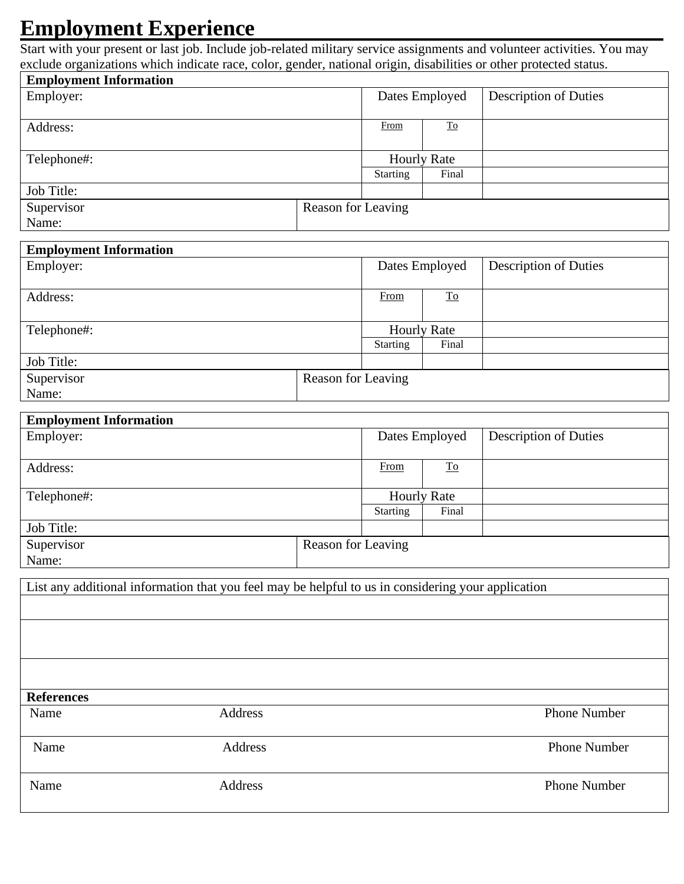### **Employment Experience**

Start with your present or last job. Include job-related military service assignments and volunteer activities. You may exclude organizations which indicate race, color, gender, national origin, disabilities or other protected status.

| <b>Employment Information</b> |                    |                    |                                 |                              |
|-------------------------------|--------------------|--------------------|---------------------------------|------------------------------|
| Employer:                     |                    |                    | Dates Employed                  | <b>Description of Duties</b> |
|                               |                    |                    |                                 |                              |
| Address:                      |                    | From               | $\underline{\operatorname{To}}$ |                              |
|                               |                    |                    |                                 |                              |
| Telephone#:                   |                    | <b>Hourly Rate</b> |                                 |                              |
|                               |                    | <b>Starting</b>    | Final                           |                              |
| Job Title:                    |                    |                    |                                 |                              |
| Supervisor                    | Reason for Leaving |                    |                                 |                              |
| Name:                         |                    |                    |                                 |                              |
|                               |                    |                    |                                 |                              |
| <b>Employment Information</b> |                    |                    |                                 |                              |
| Employer:                     |                    | Dates Employed     |                                 | <b>Description of Duties</b> |

| Employer:   |                    | Dates Employed  |                                 | <b>Description of Duties</b> |
|-------------|--------------------|-----------------|---------------------------------|------------------------------|
| Address:    |                    | From            | $\underline{\operatorname{To}}$ |                              |
| Telephone#: |                    |                 | <b>Hourly Rate</b>              |                              |
|             |                    | <b>Starting</b> | Final                           |                              |
| Job Title:  |                    |                 |                                 |                              |
| Supervisor  | Reason for Leaving |                 |                                 |                              |
| Name:       |                    |                 |                                 |                              |

| <b>Employment Information</b> |                    |                 |                                 |                              |
|-------------------------------|--------------------|-----------------|---------------------------------|------------------------------|
| Employer:                     |                    |                 | Dates Employed                  | <b>Description of Duties</b> |
| Address:                      |                    | From            | $\underline{\operatorname{To}}$ |                              |
| Telephone#:                   |                    |                 | <b>Hourly Rate</b>              |                              |
|                               |                    | <b>Starting</b> | Final                           |                              |
| Job Title:                    |                    |                 |                                 |                              |
| Supervisor                    | Reason for Leaving |                 |                                 |                              |
| Name:                         |                    |                 |                                 |                              |

List any additional information that you feel may be helpful to us in considering your application

**References**

Name Address Phone Number

Name Address **Phone Number** 

Name Address **Address** Phone Number